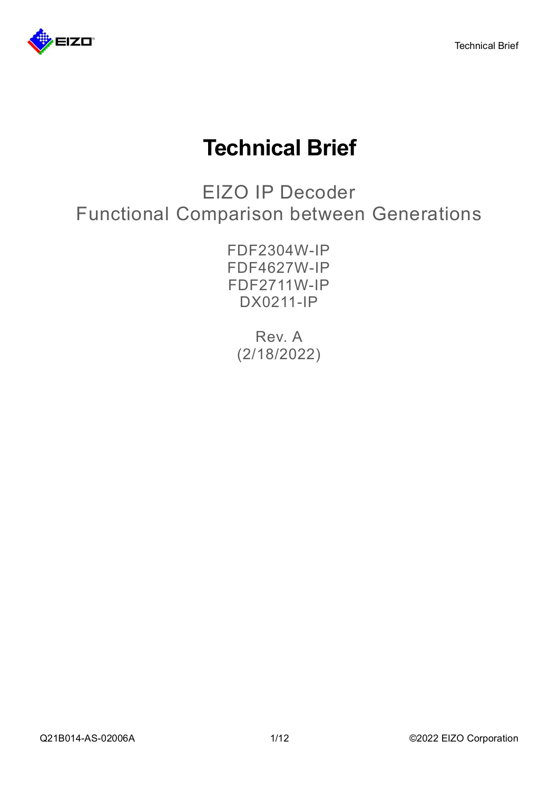

# **Technical Brief**

EIZO IP Decoder Functional Comparison between Generations

> FDF2304W-IP FDF4627W-IP FDF2711W-IP DX0211-IP

Rev. A (2/18/2022)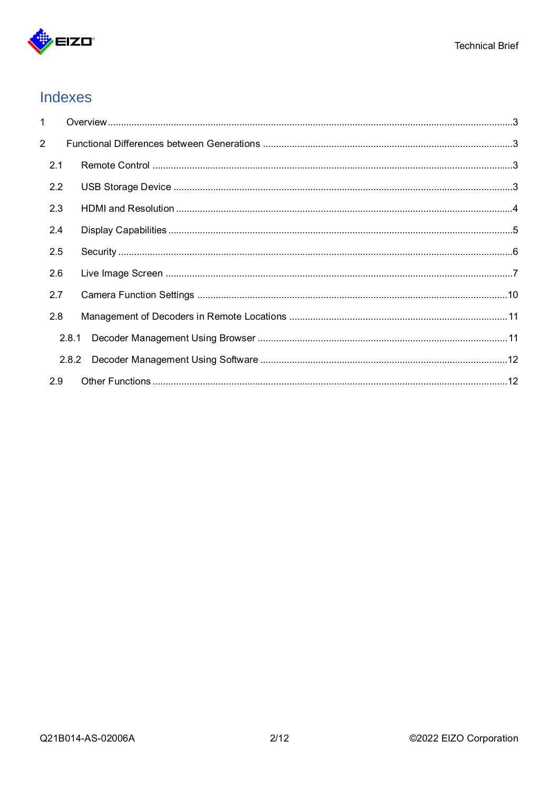

# Indexes

| 1              |       |  |
|----------------|-------|--|
| $\overline{2}$ |       |  |
| 2.1            |       |  |
| 2.2            |       |  |
| 2.3            |       |  |
| 2.4            |       |  |
| 2.5            |       |  |
| 2.6            |       |  |
| 2.7            |       |  |
| 2.8            |       |  |
|                | 2.8.1 |  |
|                | 2.8.2 |  |
| 2.9            |       |  |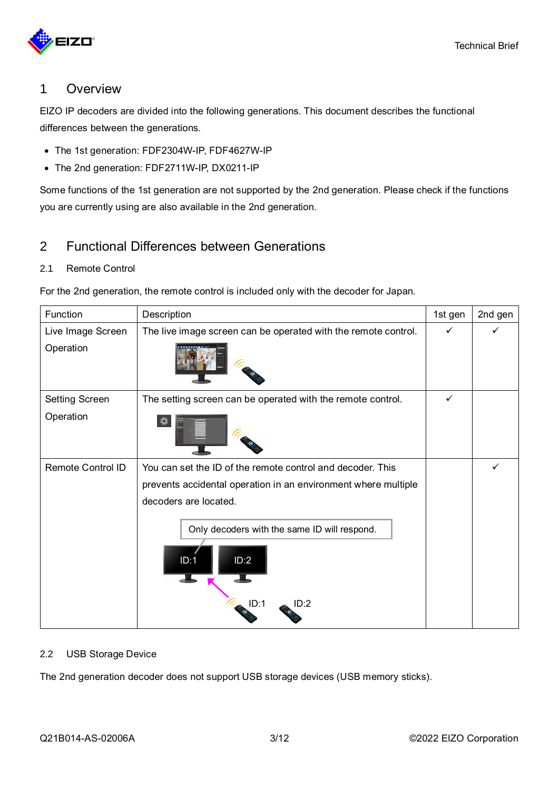

# <span id="page-2-0"></span>1 Overview

EIZO IP decoders are divided into the following generations. This document describes the functional differences between the generations.

- The 1st generation: FDF2304W-IP, FDF4627W-IP
- The 2nd generation: FDF2711W-IP, DX0211-IP

Some functions of the 1st generation are not supported by the 2nd generation. Please check if the functions you are currently using are also available in the 2nd generation.

# <span id="page-2-1"></span>2 Functional Differences between Generations

#### <span id="page-2-2"></span>2.1 Remote Control

For the 2nd generation, the remote control is included only with the decoder for Japan.

| Function                 | Description                                                                  | 1st gen      | 2nd gen |
|--------------------------|------------------------------------------------------------------------------|--------------|---------|
| Live Image Screen        | The live image screen can be operated with the remote control.               | $\checkmark$ |         |
| Operation                |                                                                              |              |         |
| <b>Setting Screen</b>    | The setting screen can be operated with the remote control.                  | ✓            |         |
| Operation                |                                                                              |              |         |
| <b>Remote Control ID</b> | You can set the ID of the remote control and decoder. This                   |              |         |
|                          | prevents accidental operation in an environment where multiple               |              |         |
|                          | decoders are located.                                                        |              |         |
|                          | Only decoders with the same ID will respond.<br>ID:2<br>ID:1<br>ID:1<br>ID:2 |              |         |

#### <span id="page-2-3"></span>2.2 USB Storage Device

The 2nd generation decoder does not support USB storage devices (USB memory sticks).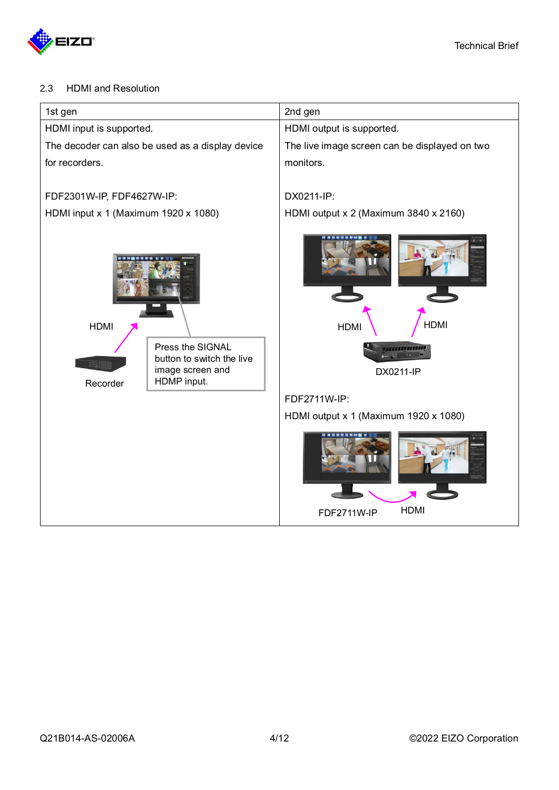

#### <span id="page-3-0"></span>2.3 HDMI and Resolution

| 1st gen                                                                                                                   | 2nd gen                                                             |
|---------------------------------------------------------------------------------------------------------------------------|---------------------------------------------------------------------|
| HDMI input is supported.                                                                                                  | HDMI output is supported.                                           |
| The decoder can also be used as a display device                                                                          | The live image screen can be displayed on two                       |
| for recorders.                                                                                                            | monitors.                                                           |
| FDF2301W-IP, FDF4627W-IP:                                                                                                 | DX0211-IP:                                                          |
| HDMI input x 1 (Maximum 1920 x 1080)                                                                                      | HDMI output x 2 (Maximum 3840 x 2160)                               |
| <b>HDMI</b><br>Press the SIGNAL<br>button to switch the live<br><b>BBB</b><br>image screen and<br>HDMP input.<br>Recorder | <b>HDMI</b><br><b>HDMI</b><br><b>TITLEFIELD AT EXT</b><br>DX0211-IP |
|                                                                                                                           | FDF2711W-IP:                                                        |
|                                                                                                                           | HDMI output x 1 (Maximum 1920 x 1080)                               |
|                                                                                                                           | <b>HDMI</b><br><b>FDF2711W-IP</b>                                   |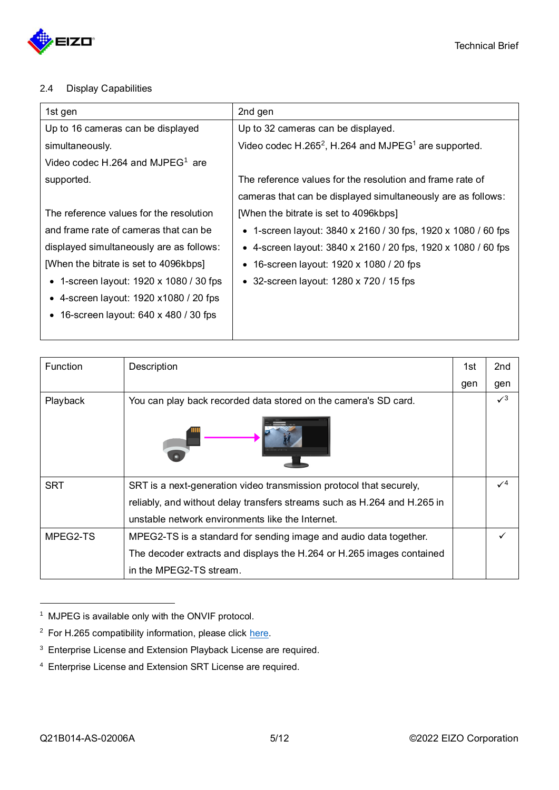

#### <span id="page-4-0"></span>2.4 Display Capabilities

<span id="page-4-1"></span>

| 1st gen                                        | 2nd gen                                                                      |
|------------------------------------------------|------------------------------------------------------------------------------|
| Up to 16 cameras can be displayed              | Up to 32 cameras can be displayed.                                           |
| simultaneously.                                | Video codec H.265 <sup>2</sup> , H.264 and MJPEG <sup>1</sup> are supported. |
| Video codec H.264 and MJPEG <sup>1</sup> are   |                                                                              |
| supported.                                     | The reference values for the resolution and frame rate of                    |
|                                                | cameras that can be displayed simultaneously are as follows:                 |
| The reference values for the resolution        | [When the bitrate is set to 4096kbps]                                        |
| and frame rate of cameras that can be          | • 1-screen layout: 3840 x 2160 / 30 fps, 1920 x 1080 / 60 fps                |
| displayed simultaneously are as follows:       | • 4-screen layout: $3840 \times 2160 / 20$ fps, $1920 \times 1080 / 60$ fps  |
| [When the bitrate is set to 4096kbps]          | • 16-screen layout: 1920 x 1080 / 20 fps                                     |
| • 1-screen layout: $1920 \times 1080 / 30$ fps | • 32-screen layout: $1280 \times 720 / 15$ fps                               |
| • 4-screen layout: $1920 \times 1080 / 20$ fps |                                                                              |
| • 16-screen layout: $640 \times 480 / 30$ fps  |                                                                              |
|                                                |                                                                              |

| <b>Function</b> | Description                                                              | 1st. | 2nd             |
|-----------------|--------------------------------------------------------------------------|------|-----------------|
|                 |                                                                          | gen  | gen             |
| Playback        | You can play back recorded data stored on the camera's SD card.          |      | $\sqrt{3}$      |
|                 |                                                                          |      |                 |
| <b>SRT</b>      | SRT is a next-generation video transmission protocol that securely,      |      | $\mathcal{N}^4$ |
|                 | reliably, and without delay transfers streams such as H.264 and H.265 in |      |                 |
|                 | unstable network environments like the Internet.                         |      |                 |
| MPEG2-TS        | MPEG2-TS is a standard for sending image and audio data together.        |      |                 |
|                 | The decoder extracts and displays the H.264 or H.265 images contained    |      |                 |
|                 | in the MPEG2-TS stream.                                                  |      |                 |

<sup>1</sup> MJPEG is available only with the ONVIF protocol.

 $2$  For H.265 compatibility information, please click [here.](https://www.eizoglobal.com/support/compatibility/device/ip-camera/index.html)

<sup>3</sup> Enterprise License and Extension Playback License are required.

<sup>4</sup> Enterprise License and Extension SRT License are required.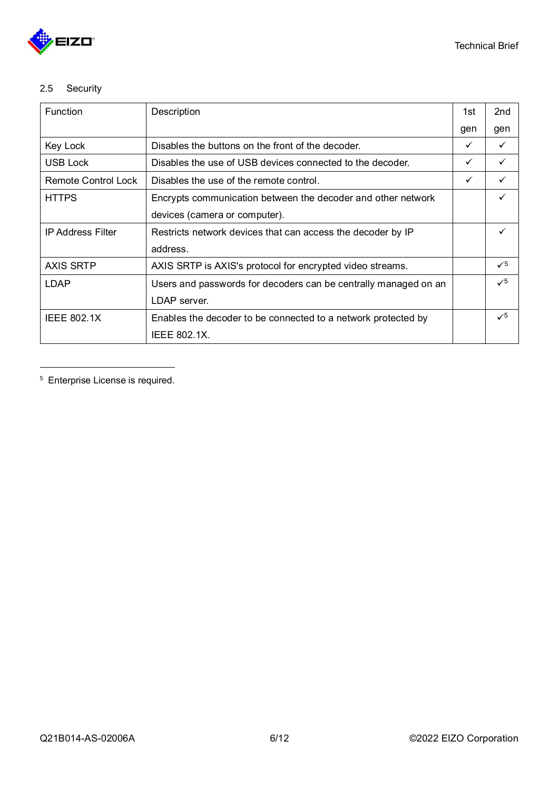

## <span id="page-5-0"></span>2.5 Security

| <b>Function</b>            | Description                                                     | 1st          | 2nd          |
|----------------------------|-----------------------------------------------------------------|--------------|--------------|
|                            |                                                                 | gen          | gen          |
| Key Lock                   | Disables the buttons on the front of the decoder.               | $\checkmark$ |              |
| USB Lock                   | Disables the use of USB devices connected to the decoder.       | $\checkmark$ | $\checkmark$ |
| <b>Remote Control Lock</b> | Disables the use of the remote control.                         | $\checkmark$ |              |
| <b>HTTPS</b>               | Encrypts communication between the decoder and other network    |              |              |
|                            | devices (camera or computer).                                   |              |              |
| <b>IP Address Filter</b>   | Restricts network devices that can access the decoder by IP     |              |              |
|                            | address.                                                        |              |              |
| <b>AXIS SRTP</b>           | AXIS SRTP is AXIS's protocol for encrypted video streams.       |              | $\sqrt{5}$   |
| <b>LDAP</b>                | Users and passwords for decoders can be centrally managed on an |              | $\checkmark$ |
|                            | LDAP server.                                                    |              |              |
| <b>IEEE 802.1X</b>         | Enables the decoder to be connected to a network protected by   |              | $\sqrt{5}$   |
|                            | IEEE 802.1X.                                                    |              |              |

<span id="page-5-1"></span><sup>5</sup> Enterprise License is required.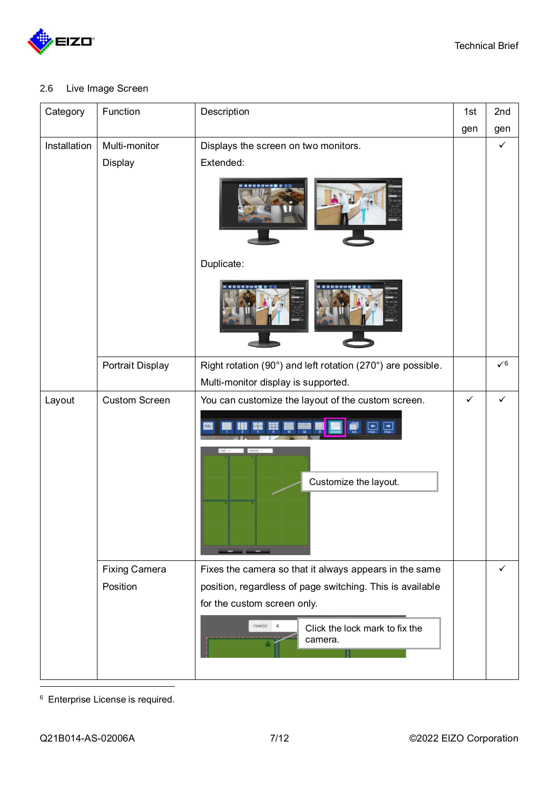

### <span id="page-6-0"></span>2.6 Live Image Screen

<span id="page-6-1"></span>

| Category     | Function             | Description                                                 | 1st          | 2nd          |
|--------------|----------------------|-------------------------------------------------------------|--------------|--------------|
|              |                      |                                                             | gen          | gen          |
| Installation | Multi-monitor        | Displays the screen on two monitors.                        |              | $\checkmark$ |
|              | Display              | Extended:                                                   |              |              |
|              |                      |                                                             |              |              |
|              |                      | Duplicate:                                                  |              |              |
|              |                      |                                                             |              |              |
|              | Portrait Display     | Right rotation (90°) and left rotation (270°) are possible. |              | $\sqrt{6}$   |
|              |                      | Multi-monitor display is supported.                         |              |              |
| Layout       | <b>Custom Screen</b> | You can customize the layout of the custom screen.          | $\checkmark$ | ✓            |
|              |                      | $\boxed{\rightarrow}$<br>Customize the layout.              |              |              |
|              |                      |                                                             |              |              |
|              | <b>Fixing Camera</b> | Fixes the camera so that it always appears in the same      |              | ✓            |
|              | Position             | position, regardless of page switching. This is available   |              |              |
|              |                      | for the custom screen only.                                 |              |              |
|              |                      | $row(s)$ 4<br>Click the lock mark to fix the<br>camera.     |              |              |

<sup>6</sup> Enterprise License is required.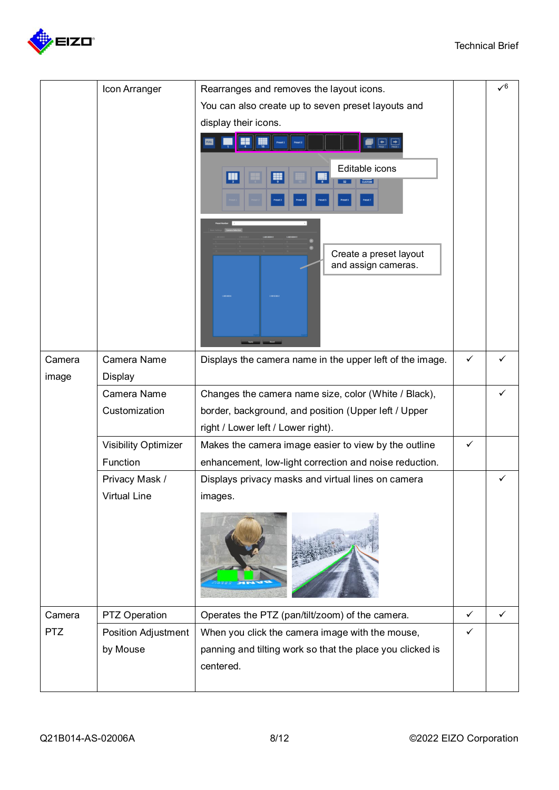

|            | Icon Arranger               | Rearranges and removes the layout icons.                                                                                               |   | $\sqrt{6}$ |
|------------|-----------------------------|----------------------------------------------------------------------------------------------------------------------------------------|---|------------|
|            |                             |                                                                                                                                        |   |            |
|            |                             | You can also create up to seven preset layouts and                                                                                     |   |            |
|            |                             | display their icons.                                                                                                                   |   |            |
|            |                             | $\begin{array}{ c c c }\hline \textbf{L} & \textbf{L} & \textbf{L} \\ \hline \textbf{MSE} & \textbf{PAGE} & \textbf{PAGE} \end{array}$ |   |            |
|            |                             | Editable icons<br>W                                                                                                                    |   |            |
|            |                             |                                                                                                                                        |   |            |
|            |                             | Create a preset layout                                                                                                                 |   |            |
|            |                             | and assign cameras.                                                                                                                    |   |            |
|            |                             |                                                                                                                                        |   |            |
| Camera     | Camera Name                 | Displays the camera name in the upper left of the image.                                                                               | ✓ |            |
| image      | <b>Display</b>              |                                                                                                                                        |   |            |
|            | Camera Name                 | Changes the camera name size, color (White / Black),                                                                                   |   |            |
|            | Customization               | border, background, and position (Upper left / Upper                                                                                   |   |            |
|            |                             | right / Lower left / Lower right).                                                                                                     |   |            |
|            | <b>Visibility Optimizer</b> | Makes the camera image easier to view by the outline                                                                                   | ✓ |            |
|            | Function                    | enhancement, low-light correction and noise reduction.                                                                                 |   |            |
|            | Privacy Mask /              | Displays privacy masks and virtual lines on camera                                                                                     |   | ✓          |
|            | Virtual Line                | images.                                                                                                                                |   |            |
|            |                             |                                                                                                                                        |   |            |
| Camera     | PTZ Operation               | Operates the PTZ (pan/tilt/zoom) of the camera.                                                                                        | ✓ |            |
| <b>PTZ</b> | Position Adjustment         | When you click the camera image with the mouse,                                                                                        | ✓ |            |
|            | by Mouse                    | panning and tilting work so that the place you clicked is<br>centered.                                                                 |   |            |
|            |                             |                                                                                                                                        |   |            |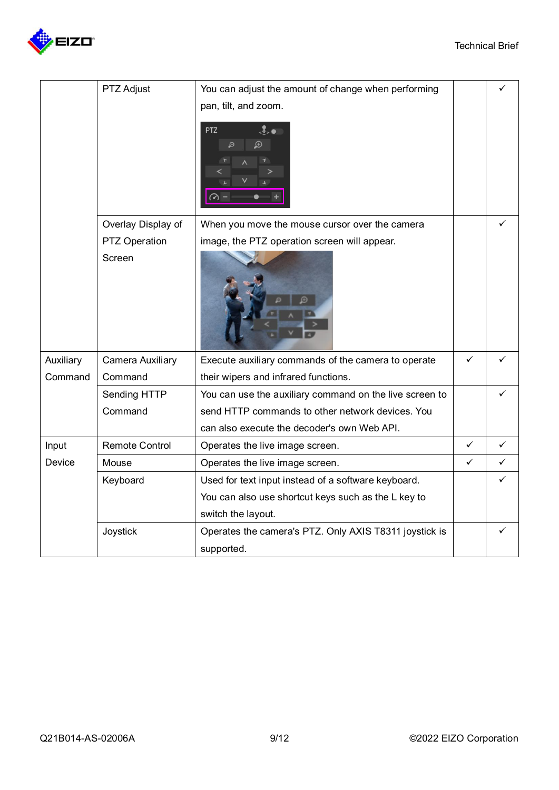

|           | PTZ Adjust              | You can adjust the amount of change when performing<br>pan, tilt, and zoom. |              |              |
|-----------|-------------------------|-----------------------------------------------------------------------------|--------------|--------------|
|           |                         | $\ddot{\mathbf{z}}$ .<br><b>PTZ</b><br>$\mathbf \Theta$<br>Q                |              |              |
|           | Overlay Display of      | When you move the mouse cursor over the camera                              |              |              |
|           | PTZ Operation           | image, the PTZ operation screen will appear.                                |              |              |
|           | Screen                  |                                                                             |              |              |
| Auxiliary | <b>Camera Auxiliary</b> | Execute auxiliary commands of the camera to operate                         | ✓            |              |
| Command   | Command                 | their wipers and infrared functions.                                        |              |              |
|           | Sending HTTP            | You can use the auxiliary command on the live screen to                     |              | ✓            |
|           | Command                 | send HTTP commands to other network devices. You                            |              |              |
|           |                         | can also execute the decoder's own Web API.                                 |              |              |
| Input     | <b>Remote Control</b>   | Operates the live image screen.                                             | $\checkmark$ | $\checkmark$ |
| Device    | Mouse                   | Operates the live image screen.                                             | $\checkmark$ | ✓            |
|           | Keyboard                | Used for text input instead of a software keyboard.                         |              | ✓            |
|           |                         | You can also use shortcut keys such as the L key to                         |              |              |
|           |                         | switch the layout.                                                          |              |              |
|           | Joystick                | Operates the camera's PTZ. Only AXIS T8311 joystick is                      |              |              |
|           |                         | supported.                                                                  |              |              |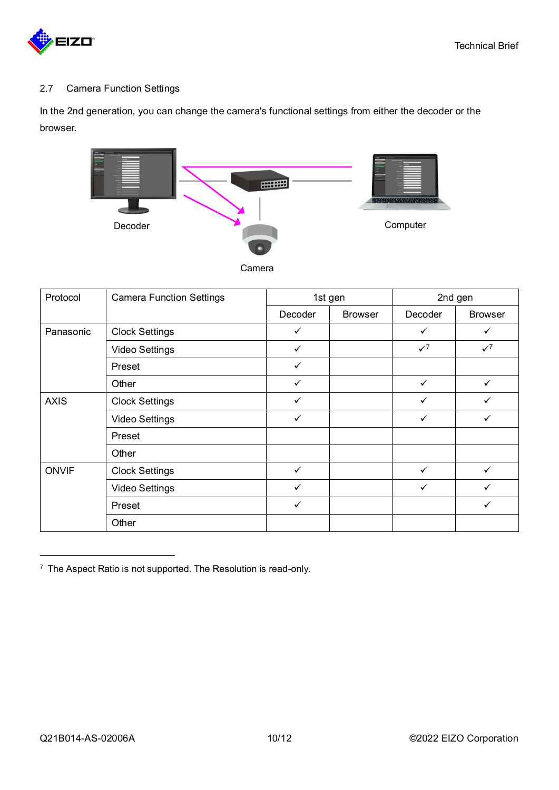

#### <span id="page-9-0"></span>2.7 Camera Function Settings

In the 2nd generation, you can change the camera's functional settings from either the decoder or the browser.



<span id="page-9-1"></span>

| Protocol     | <b>Camera Function Settings</b> | 1st gen      |                |              | 2nd gen        |
|--------------|---------------------------------|--------------|----------------|--------------|----------------|
|              |                                 | Decoder      | <b>Browser</b> | Decoder      | <b>Browser</b> |
| Panasonic    | <b>Clock Settings</b>           | $\checkmark$ |                | ✓            | ✓              |
|              | Video Settings                  | $\checkmark$ |                | $\sqrt{7}$   | $\sqrt{7}$     |
|              | Preset                          | ✓            |                |              |                |
|              | Other                           | $\checkmark$ |                | ✓            | ✓              |
| <b>AXIS</b>  | <b>Clock Settings</b>           | $\checkmark$ |                | $\checkmark$ | $\checkmark$   |
|              | <b>Video Settings</b>           | $\checkmark$ |                | ✓            | $\checkmark$   |
|              | Preset                          |              |                |              |                |
|              | Other                           |              |                |              |                |
| <b>ONVIF</b> | <b>Clock Settings</b>           | $\checkmark$ |                | ✓            | $\checkmark$   |
|              | <b>Video Settings</b>           | $\checkmark$ |                | $\checkmark$ | $\checkmark$   |
|              | Preset                          | $\checkmark$ |                |              | ✓              |
|              | Other                           |              |                |              |                |

 $7$  The Aspect Ratio is not supported. The Resolution is read-only.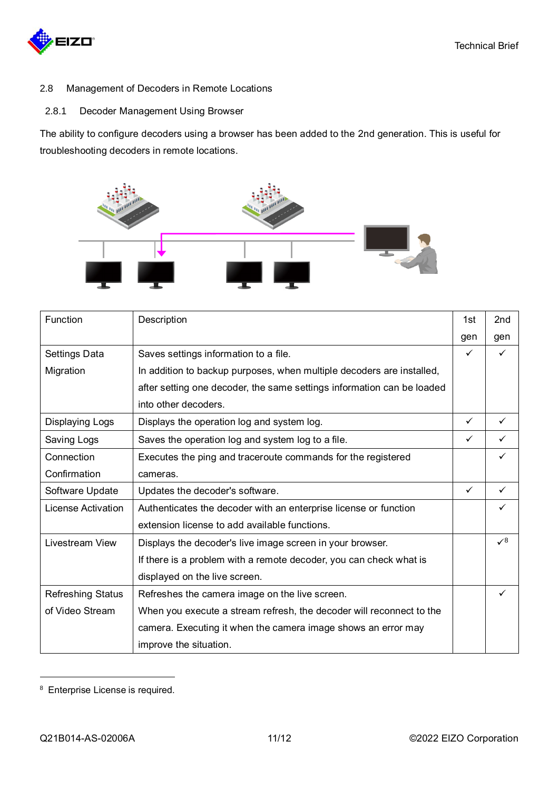

- <span id="page-10-0"></span>2.8 Management of Decoders in Remote Locations
- <span id="page-10-1"></span>2.8.1 Decoder Management Using Browser

The ability to configure decoders using a browser has been added to the 2nd generation. This is useful for troubleshooting decoders in remote locations.



| Function                 | Description                                                            | 1st          | 2 <sub>nd</sub> |
|--------------------------|------------------------------------------------------------------------|--------------|-----------------|
|                          |                                                                        | gen          | gen             |
| Settings Data            | Saves settings information to a file.                                  | ✓            | $\checkmark$    |
| Migration                | In addition to backup purposes, when multiple decoders are installed,  |              |                 |
|                          | after setting one decoder, the same settings information can be loaded |              |                 |
|                          | into other decoders.                                                   |              |                 |
| <b>Displaying Logs</b>   | Displays the operation log and system log.                             | $\checkmark$ | $\checkmark$    |
| Saving Logs              | Saves the operation log and system log to a file.                      | $\checkmark$ | $\checkmark$    |
| Connection               | Executes the ping and traceroute commands for the registered           |              | $\checkmark$    |
| Confirmation             | cameras.                                                               |              |                 |
| Software Update          | Updates the decoder's software.                                        | $\checkmark$ | $\checkmark$    |
| License Activation       | Authenticates the decoder with an enterprise license or function       |              |                 |
|                          | extension license to add available functions.                          |              |                 |
| Livestream View          | Displays the decoder's live image screen in your browser.              |              | $\sqrt{8}$      |
|                          | If there is a problem with a remote decoder, you can check what is     |              |                 |
|                          | displayed on the live screen.                                          |              |                 |
| <b>Refreshing Status</b> | Refreshes the camera image on the live screen.                         |              | $\checkmark$    |
| of Video Stream          | When you execute a stream refresh, the decoder will reconnect to the   |              |                 |
|                          | camera. Executing it when the camera image shows an error may          |              |                 |
|                          | improve the situation.                                                 |              |                 |

<sup>8</sup> Enterprise License is required.